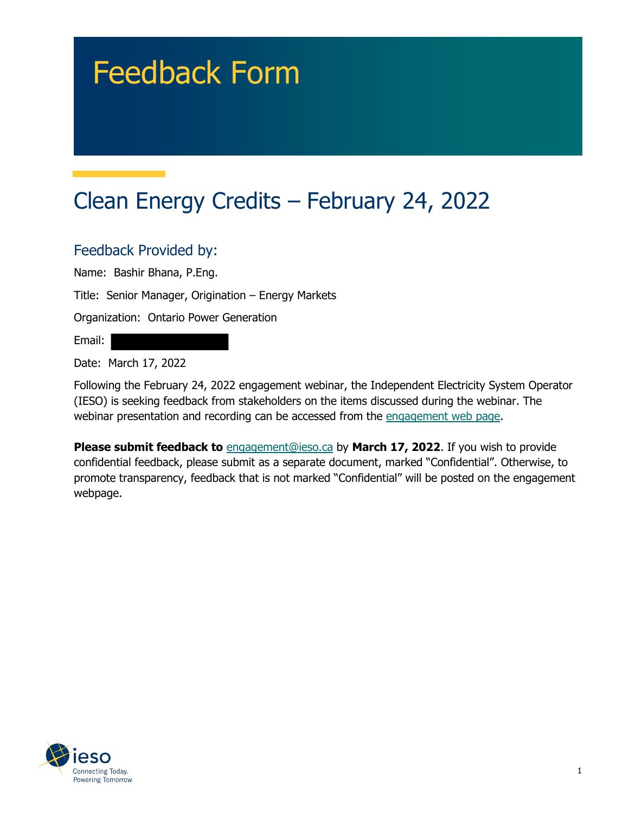# Feedback Form

## Clean Energy Credits – February 24, 2022

### Feedback Provided by:

Name: Bashir Bhana, P.Eng.

Title: Senior Manager, Origination – Energy Markets

Organization: Ontario Power Generation

Email:

Date: March 17, 2022

Following the February 24, 2022 engagement webinar, the Independent Electricity System Operator (IESO) is seeking feedback from stakeholders on the items discussed during the webinar. The webinar presentation and recording can be accessed from the engagement web page.

**Please submit feedback to** engagement@ieso.ca by **March 17, 2022**. If you wish to provide confidential feedback, please submit as a separate document, marked "Confidential". Otherwise, to promote transparency, feedback that is not marked "Confidential" will be posted on the engagement webpage.

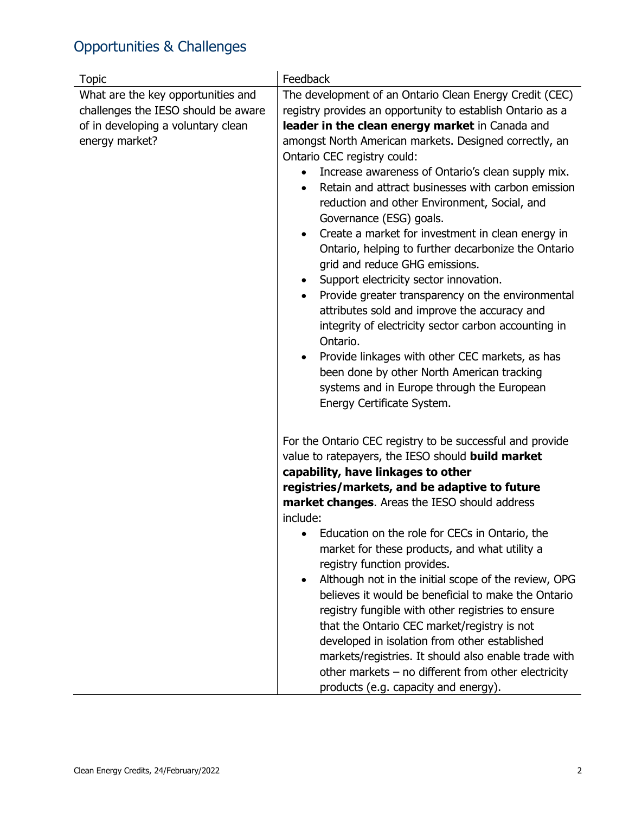## Opportunities & Challenges

| <b>Topic</b>                                                                                                                      | Feedback                                                                                                                                                                                                                                                                                                                                                                                                                                                                                                                                                                                                                                                                                                                                                                                                                                                                                                                                                                                                                                                  |
|-----------------------------------------------------------------------------------------------------------------------------------|-----------------------------------------------------------------------------------------------------------------------------------------------------------------------------------------------------------------------------------------------------------------------------------------------------------------------------------------------------------------------------------------------------------------------------------------------------------------------------------------------------------------------------------------------------------------------------------------------------------------------------------------------------------------------------------------------------------------------------------------------------------------------------------------------------------------------------------------------------------------------------------------------------------------------------------------------------------------------------------------------------------------------------------------------------------|
| What are the key opportunities and<br>challenges the IESO should be aware<br>of in developing a voluntary clean<br>energy market? | The development of an Ontario Clean Energy Credit (CEC)<br>registry provides an opportunity to establish Ontario as a<br>leader in the clean energy market in Canada and<br>amongst North American markets. Designed correctly, an<br>Ontario CEC registry could:<br>Increase awareness of Ontario's clean supply mix.<br>$\bullet$<br>Retain and attract businesses with carbon emission<br>$\bullet$<br>reduction and other Environment, Social, and<br>Governance (ESG) goals.<br>Create a market for investment in clean energy in<br>$\bullet$<br>Ontario, helping to further decarbonize the Ontario<br>grid and reduce GHG emissions.<br>Support electricity sector innovation.<br>$\bullet$<br>Provide greater transparency on the environmental<br>attributes sold and improve the accuracy and<br>integrity of electricity sector carbon accounting in<br>Ontario.<br>Provide linkages with other CEC markets, as has<br>been done by other North American tracking<br>systems and in Europe through the European<br>Energy Certificate System. |
|                                                                                                                                   | For the Ontario CEC registry to be successful and provide<br>value to ratepayers, the IESO should <b>build market</b><br>capability, have linkages to other<br>registries/markets, and be adaptive to future<br>market changes. Areas the IESO should address<br>include:<br>Education on the role for CECs in Ontario, the<br>market for these products, and what utility a<br>registry function provides.<br>Although not in the initial scope of the review, OPG<br>believes it would be beneficial to make the Ontario<br>registry fungible with other registries to ensure<br>that the Ontario CEC market/registry is not<br>developed in isolation from other established<br>markets/registries. It should also enable trade with<br>other markets $-$ no different from other electricity<br>products (e.g. capacity and energy).                                                                                                                                                                                                                  |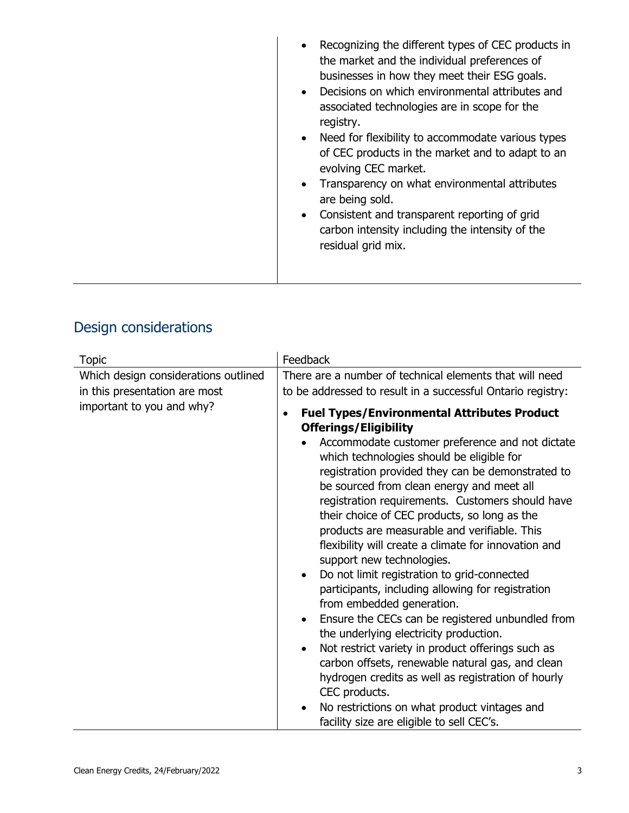| Recognizing the different types of CEC products in<br>the market and the individual preferences of<br>businesses in how they meet their ESG goals.<br>Decisions on which environmental attributes and<br>associated technologies are in scope for the<br>registry.<br>Need for flexibility to accommodate various types<br>of CEC products in the market and to adapt to an<br>evolving CEC market.<br>Transparency on what environmental attributes<br>are being sold.<br>Consistent and transparent reporting of grid<br>carbon intensity including the intensity of the<br>residual grid mix. |
|--------------------------------------------------------------------------------------------------------------------------------------------------------------------------------------------------------------------------------------------------------------------------------------------------------------------------------------------------------------------------------------------------------------------------------------------------------------------------------------------------------------------------------------------------------------------------------------------------|
|                                                                                                                                                                                                                                                                                                                                                                                                                                                                                                                                                                                                  |

## Design considerations

| <b>Topic</b>                                                                                       | Feedback                                                                                                                                                                                                                                                                                                                                                                                                                                                                                                                                                                                                                                                                                          |
|----------------------------------------------------------------------------------------------------|---------------------------------------------------------------------------------------------------------------------------------------------------------------------------------------------------------------------------------------------------------------------------------------------------------------------------------------------------------------------------------------------------------------------------------------------------------------------------------------------------------------------------------------------------------------------------------------------------------------------------------------------------------------------------------------------------|
| Which design considerations outlined<br>in this presentation are most<br>important to you and why? | There are a number of technical elements that will need<br>to be addressed to result in a successful Ontario registry:<br><b>Fuel Types/Environmental Attributes Product</b><br>$\bullet$<br><b>Offerings/Eligibility</b><br>Accommodate customer preference and not dictate<br>which technologies should be eligible for<br>registration provided they can be demonstrated to<br>be sourced from clean energy and meet all<br>registration requirements. Customers should have<br>their choice of CEC products, so long as the                                                                                                                                                                   |
|                                                                                                    | products are measurable and verifiable. This<br>flexibility will create a climate for innovation and<br>support new technologies.<br>Do not limit registration to grid-connected<br>$\bullet$<br>participants, including allowing for registration<br>from embedded generation.<br>Ensure the CECs can be registered unbundled from<br>$\bullet$<br>the underlying electricity production.<br>Not restrict variety in product offerings such as<br>$\bullet$<br>carbon offsets, renewable natural gas, and clean<br>hydrogen credits as well as registration of hourly<br>CEC products.<br>No restrictions on what product vintages and<br>$\bullet$<br>facility size are eligible to sell CEC's. |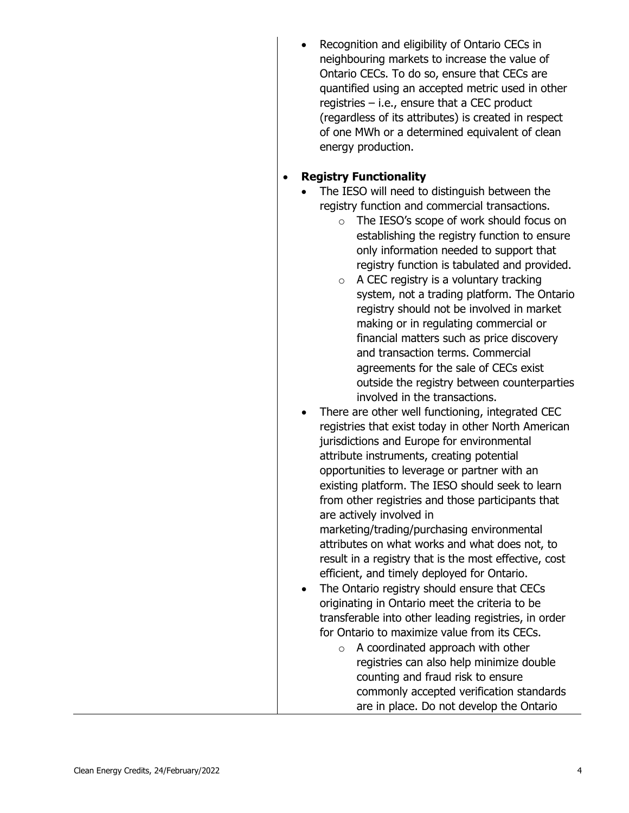• Recognition and eligibility of Ontario CECs in neighbouring markets to increase the value of Ontario CECs. To do so, ensure that CECs are quantified using an accepted metric used in other registries – i.e., ensure that a CEC product (regardless of its attributes) is created in respect of one MWh or a determined equivalent of clean energy production.

#### • **Registry Functionality**

- The IESO will need to distinguish between the registry function and commercial transactions.
	- o The IESO's scope of work should focus on establishing the registry function to ensure only information needed to support that registry function is tabulated and provided.
	- $\circ$  A CEC registry is a voluntary tracking system, not a trading platform. The Ontario registry should not be involved in market making or in regulating commercial or financial matters such as price discovery and transaction terms. Commercial agreements for the sale of CECs exist outside the registry between counterparties involved in the transactions.
- There are other well functioning, integrated CEC registries that exist today in other North American jurisdictions and Europe for environmental attribute instruments, creating potential opportunities to leverage or partner with an existing platform. The IESO should seek to learn from other registries and those participants that are actively involved in marketing/trading/purchasing environmental attributes on what works and what does not, to result in a registry that is the most effective, cost efficient, and timely deployed for Ontario. The Ontario registry should ensure that CECs
	- originating in Ontario meet the criteria to be transferable into other leading registries, in order for Ontario to maximize value from its CECs.
		- o A coordinated approach with other registries can also help minimize double counting and fraud risk to ensure commonly accepted verification standards are in place. Do not develop the Ontario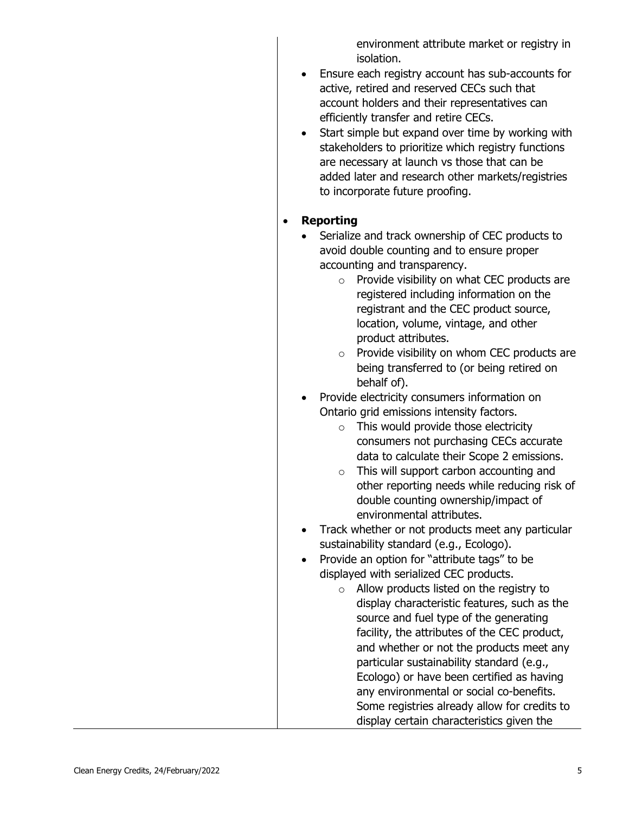environment attribute market or registry in isolation.

- Ensure each registry account has sub-accounts for active, retired and reserved CECs such that account holders and their representatives can efficiently transfer and retire CECs.
- Start simple but expand over time by working with stakeholders to prioritize which registry functions are necessary at launch vs those that can be added later and research other markets/registries to incorporate future proofing.

#### • **Reporting**

- Serialize and track ownership of CEC products to avoid double counting and to ensure proper accounting and transparency.
	- o Provide visibility on what CEC products are registered including information on the registrant and the CEC product source, location, volume, vintage, and other product attributes.
	- o Provide visibility on whom CEC products are being transferred to (or being retired on behalf of).
- Provide electricity consumers information on Ontario grid emissions intensity factors.
	- $\circ$  This would provide those electricity consumers not purchasing CECs accurate data to calculate their Scope 2 emissions.
	- o This will support carbon accounting and other reporting needs while reducing risk of double counting ownership/impact of environmental attributes.
- Track whether or not products meet any particular sustainability standard (e.g., Ecologo).
- Provide an option for "attribute tags" to be displayed with serialized CEC products.
	- o Allow products listed on the registry to display characteristic features, such as the source and fuel type of the generating facility, the attributes of the CEC product, and whether or not the products meet any particular sustainability standard (e.g., Ecologo) or have been certified as having any environmental or social co-benefits. Some registries already allow for credits to display certain characteristics given the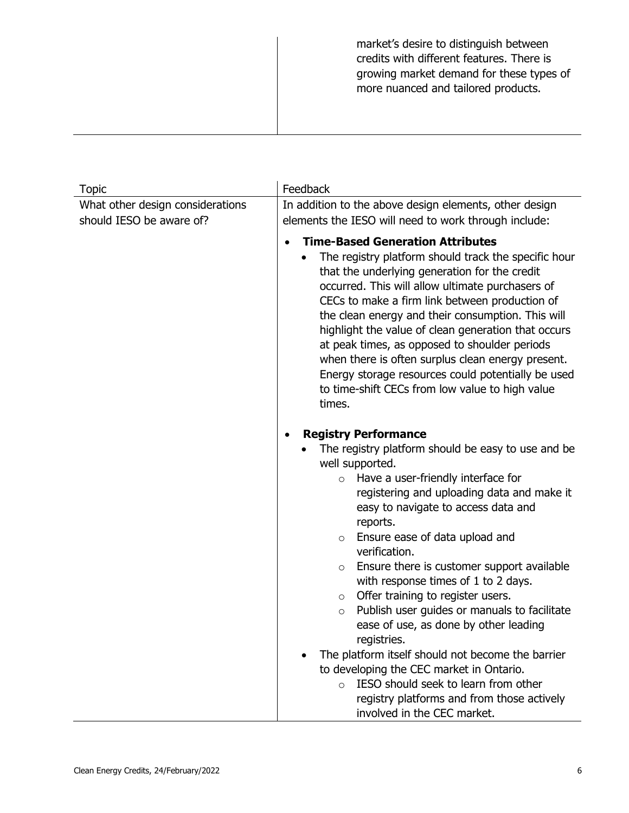| market's desire to distinguish between<br>credits with different features. There is<br>growing market demand for these types of<br>more nuanced and tailored products. |
|------------------------------------------------------------------------------------------------------------------------------------------------------------------------|
|                                                                                                                                                                        |

| <b>Topic</b>                     | Feedback                                                                                                                                                                                                                                                                                                                                                                                                                                                                                                                                                                                    |
|----------------------------------|---------------------------------------------------------------------------------------------------------------------------------------------------------------------------------------------------------------------------------------------------------------------------------------------------------------------------------------------------------------------------------------------------------------------------------------------------------------------------------------------------------------------------------------------------------------------------------------------|
| What other design considerations | In addition to the above design elements, other design                                                                                                                                                                                                                                                                                                                                                                                                                                                                                                                                      |
| should IESO be aware of?         | elements the IESO will need to work through include:                                                                                                                                                                                                                                                                                                                                                                                                                                                                                                                                        |
|                                  | <b>Time-Based Generation Attributes</b><br>The registry platform should track the specific hour<br>that the underlying generation for the credit<br>occurred. This will allow ultimate purchasers of<br>CECs to make a firm link between production of<br>the clean energy and their consumption. This will<br>highlight the value of clean generation that occurs<br>at peak times, as opposed to shoulder periods<br>when there is often surplus clean energy present.<br>Energy storage resources could potentially be used<br>to time-shift CECs from low value to high value<br>times. |
|                                  | <b>Registry Performance</b><br>The registry platform should be easy to use and be<br>well supported.<br>Have a user-friendly interface for<br>$\circ$<br>registering and uploading data and make it<br>easy to navigate to access data and<br>reports.                                                                                                                                                                                                                                                                                                                                      |
|                                  | Ensure ease of data upload and<br>$\circ$                                                                                                                                                                                                                                                                                                                                                                                                                                                                                                                                                   |
|                                  | verification.                                                                                                                                                                                                                                                                                                                                                                                                                                                                                                                                                                               |
|                                  | Ensure there is customer support available<br>$\circ$<br>with response times of 1 to 2 days.                                                                                                                                                                                                                                                                                                                                                                                                                                                                                                |
|                                  | Offer training to register users.<br>$\circ$                                                                                                                                                                                                                                                                                                                                                                                                                                                                                                                                                |
|                                  | Publish user guides or manuals to facilitate<br>$\circ$<br>ease of use, as done by other leading<br>registries.                                                                                                                                                                                                                                                                                                                                                                                                                                                                             |
|                                  | The platform itself should not become the barrier                                                                                                                                                                                                                                                                                                                                                                                                                                                                                                                                           |
|                                  | to developing the CEC market in Ontario.                                                                                                                                                                                                                                                                                                                                                                                                                                                                                                                                                    |
|                                  | IESO should seek to learn from other<br>$\circ$<br>registry platforms and from those actively                                                                                                                                                                                                                                                                                                                                                                                                                                                                                               |
|                                  | involved in the CEC market.                                                                                                                                                                                                                                                                                                                                                                                                                                                                                                                                                                 |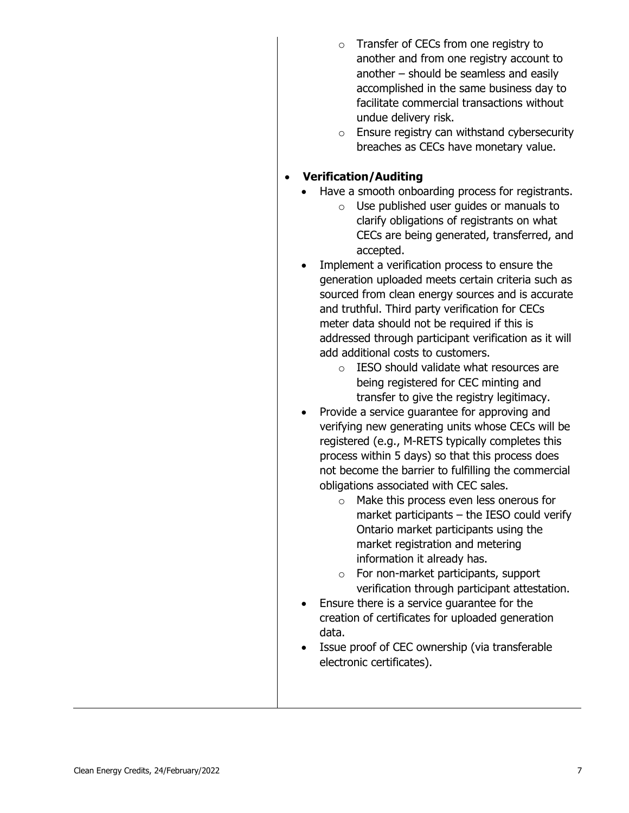- Transfer of CECs from one registry to another and from one registry account to another – should be seamless and easily accomplished in the same business day to facilitate commercial transactions without undue delivery risk.
- o Ensure registry can withstand cybersecurity breaches as CECs have monetary value.

#### • **Verification/Auditing**

- Have a smooth onboarding process for registrants.
	- o Use published user guides or manuals to clarify obligations of registrants on what CECs are being generated, transferred, and accepted.
- Implement a verification process to ensure the generation uploaded meets certain criteria such as sourced from clean energy sources and is accurate and truthful. Third party verification for CECs meter data should not be required if this is addressed through participant verification as it will add additional costs to customers.
	- o IESO should validate what resources are being registered for CEC minting and transfer to give the registry legitimacy.
- Provide a service guarantee for approving and verifying new generating units whose CECs will be registered (e.g., M-RETS typically completes this process within 5 days) so that this process does not become the barrier to fulfilling the commercial obligations associated with CEC sales.
	- o Make this process even less onerous for market participants – the IESO could verify Ontario market participants using the market registration and metering information it already has.
	- o For non-market participants, support verification through participant attestation.
- Ensure there is a service guarantee for the creation of certificates for uploaded generation data.
- Issue proof of CEC ownership (via transferable electronic certificates).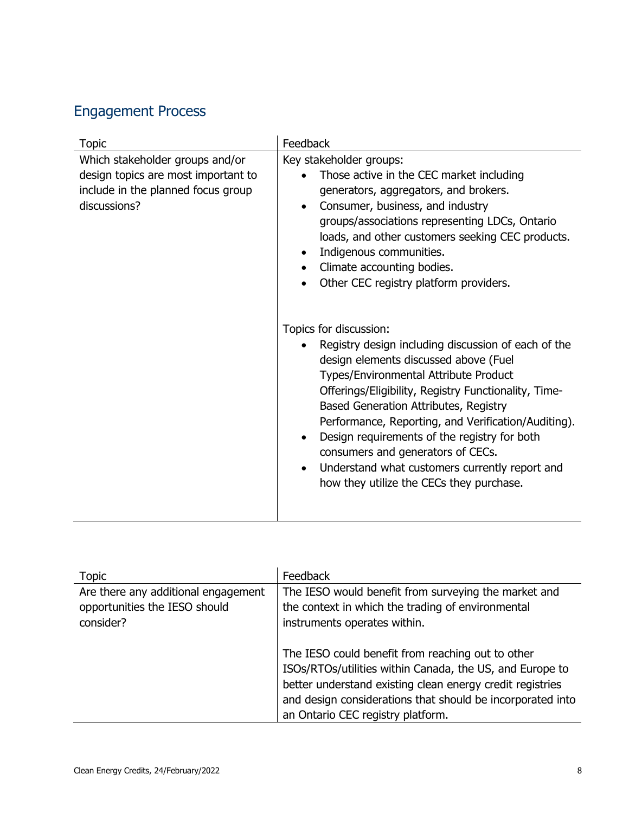## Engagement Process

| <b>Topic</b>                                                                                                                 | Feedback                                                                                                                                                                                                                                                                                                                                                                                                                                                                                                                |
|------------------------------------------------------------------------------------------------------------------------------|-------------------------------------------------------------------------------------------------------------------------------------------------------------------------------------------------------------------------------------------------------------------------------------------------------------------------------------------------------------------------------------------------------------------------------------------------------------------------------------------------------------------------|
| Which stakeholder groups and/or<br>design topics are most important to<br>include in the planned focus group<br>discussions? | Key stakeholder groups:<br>Those active in the CEC market including<br>generators, aggregators, and brokers.<br>Consumer, business, and industry<br>$\bullet$<br>groups/associations representing LDCs, Ontario<br>loads, and other customers seeking CEC products.<br>Indigenous communities.<br>$\bullet$<br>Climate accounting bodies.<br>$\bullet$<br>Other CEC registry platform providers.                                                                                                                        |
|                                                                                                                              | Topics for discussion:<br>Registry design including discussion of each of the<br>design elements discussed above (Fuel<br>Types/Environmental Attribute Product<br>Offerings/Eligibility, Registry Functionality, Time-<br>Based Generation Attributes, Registry<br>Performance, Reporting, and Verification/Auditing).<br>Design requirements of the registry for both<br>consumers and generators of CECs.<br>Understand what customers currently report and<br>$\bullet$<br>how they utilize the CECs they purchase. |

| <b>Topic</b>                                                                      | Feedback                                                                                                                                                                                                                                                                      |
|-----------------------------------------------------------------------------------|-------------------------------------------------------------------------------------------------------------------------------------------------------------------------------------------------------------------------------------------------------------------------------|
| Are there any additional engagement<br>opportunities the IESO should<br>consider? | The IESO would benefit from surveying the market and<br>the context in which the trading of environmental<br>instruments operates within.                                                                                                                                     |
|                                                                                   | The IESO could benefit from reaching out to other<br>ISOs/RTOs/utilities within Canada, the US, and Europe to<br>better understand existing clean energy credit registries<br>and design considerations that should be incorporated into<br>an Ontario CEC registry platform. |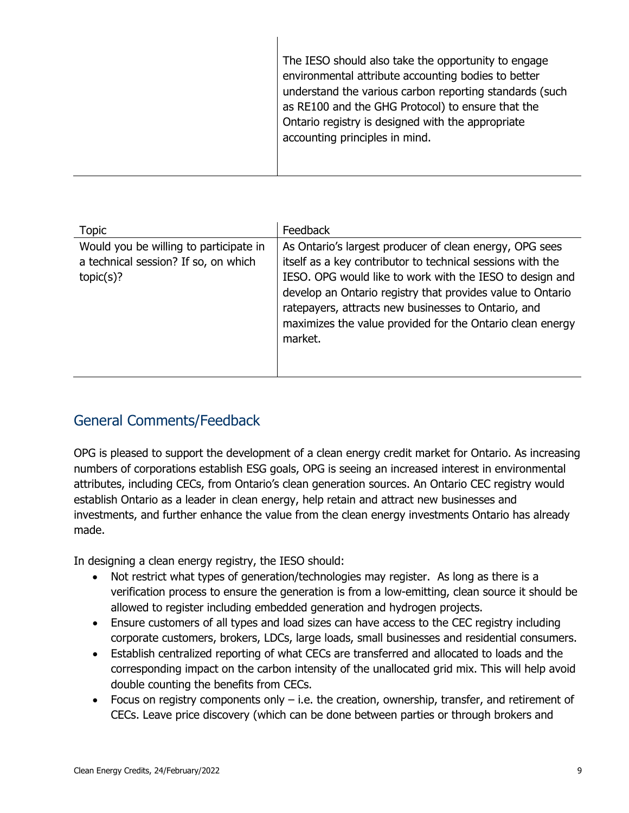| The IESO should also take the opportunity to engage<br>environmental attribute accounting bodies to better<br>understand the various carbon reporting standards (such<br>as RE100 and the GHG Protocol) to ensure that the<br>Ontario registry is designed with the appropriate<br>accounting principles in mind. |
|-------------------------------------------------------------------------------------------------------------------------------------------------------------------------------------------------------------------------------------------------------------------------------------------------------------------|
|                                                                                                                                                                                                                                                                                                                   |

| <b>Topic</b>                                                                                | Feedback                                                                                                                                                                                                                                                                                                                                                                       |
|---------------------------------------------------------------------------------------------|--------------------------------------------------------------------------------------------------------------------------------------------------------------------------------------------------------------------------------------------------------------------------------------------------------------------------------------------------------------------------------|
| Would you be willing to participate in<br>a technical session? If so, on which<br>topic(s)? | As Ontario's largest producer of clean energy, OPG sees<br>itself as a key contributor to technical sessions with the<br>IESO. OPG would like to work with the IESO to design and<br>develop an Ontario registry that provides value to Ontario<br>ratepayers, attracts new businesses to Ontario, and<br>maximizes the value provided for the Ontario clean energy<br>market. |

#### General Comments/Feedback

OPG is pleased to support the development of a clean energy credit market for Ontario. As increasing numbers of corporations establish ESG goals, OPG is seeing an increased interest in environmental attributes, including CECs, from Ontario's clean generation sources. An Ontario CEC registry would establish Ontario as a leader in clean energy, help retain and attract new businesses and investments, and further enhance the value from the clean energy investments Ontario has already made.

In designing a clean energy registry, the IESO should:

- Not restrict what types of generation/technologies may register. As long as there is a verification process to ensure the generation is from a low-emitting, clean source it should be allowed to register including embedded generation and hydrogen projects.
- Ensure customers of all types and load sizes can have access to the CEC registry including corporate customers, brokers, LDCs, large loads, small businesses and residential consumers.
- Establish centralized reporting of what CECs are transferred and allocated to loads and the corresponding impact on the carbon intensity of the unallocated grid mix. This will help avoid double counting the benefits from CECs.
- Focus on registry components only  $-$  i.e. the creation, ownership, transfer, and retirement of CECs. Leave price discovery (which can be done between parties or through brokers and